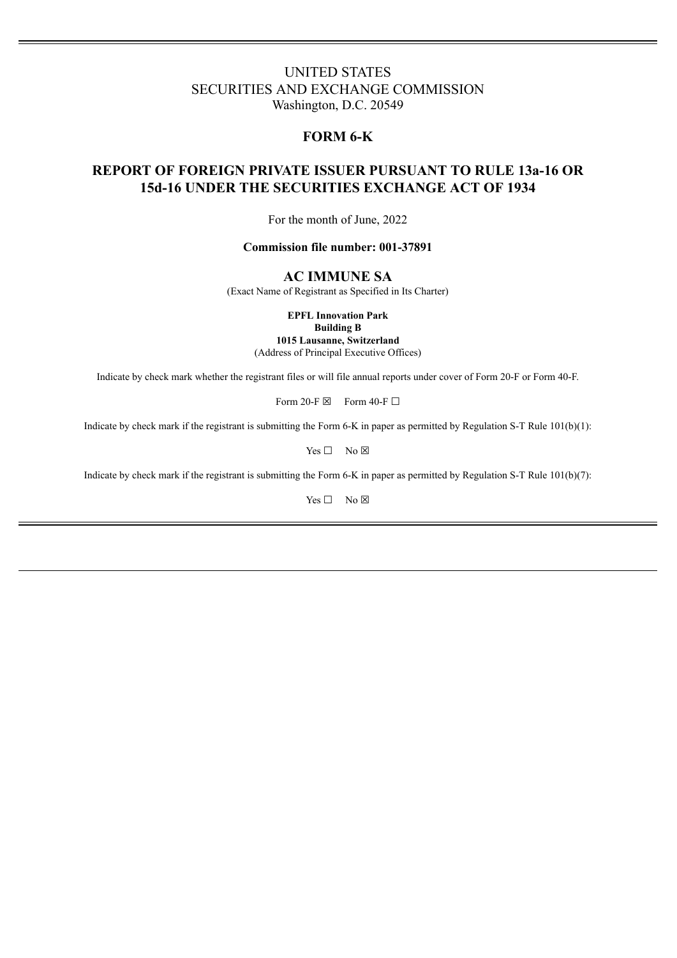# UNITED STATES SECURITIES AND EXCHANGE COMMISSION Washington, D.C. 20549

# **FORM 6-K**

# **REPORT OF FOREIGN PRIVATE ISSUER PURSUANT TO RULE 13a-16 OR 15d-16 UNDER THE SECURITIES EXCHANGE ACT OF 1934**

For the month of June, 2022

### **Commission file number: 001-37891**

## **AC IMMUNE SA**

(Exact Name of Registrant as Specified in Its Charter)

**EPFL Innovation Park**

**Building B**

**1015 Lausanne, Switzerland** (Address of Principal Executive Offices)

Indicate by check mark whether the registrant files or will file annual reports under cover of Form 20-F or Form 40-F.

Form 20-F  $\boxtimes$  Form 40-F  $\Box$ 

Indicate by check mark if the registrant is submitting the Form 6-K in paper as permitted by Regulation S-T Rule 101(b)(1):

Yes □ No ⊠

Indicate by check mark if the registrant is submitting the Form 6-K in paper as permitted by Regulation S-T Rule 101(b)(7):

Yes □ No ⊠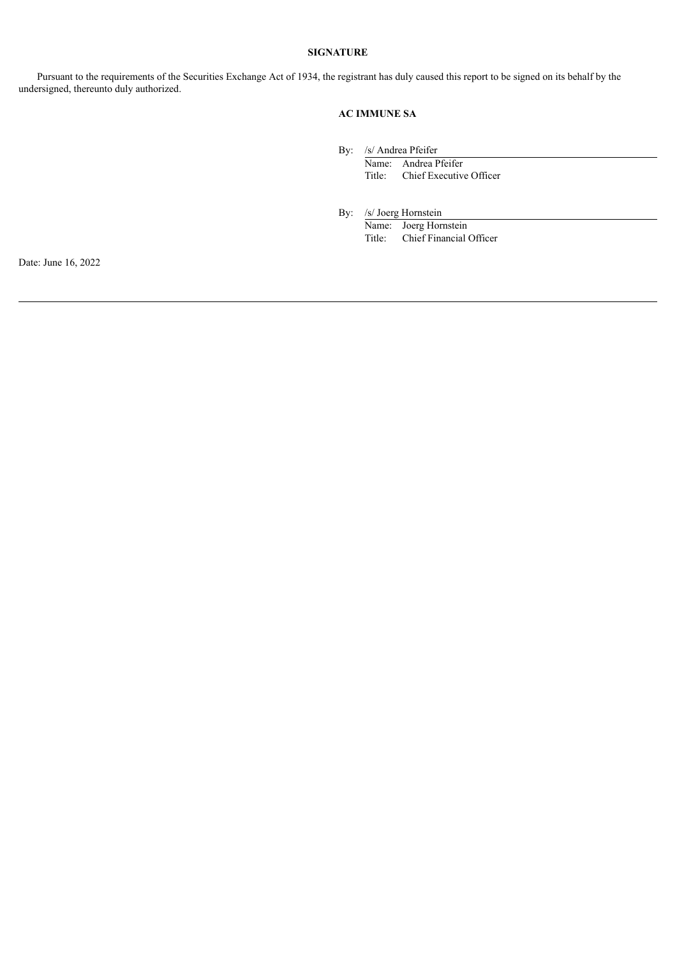### **SIGNATURE**

Pursuant to the requirements of the Securities Exchange Act of 1934, the registrant has duly caused this report to be signed on its behalf by the undersigned, thereunto duly authorized.

## **AC IMMUNE SA**

By: /s/ Andrea Pfeifer

Name: Andrea Pfeifer Title: Chief Executive Officer

By: /s/ Joerg Hornstein

Name: Joerg Hornstein Title: Chief Financial Officer

Date: June 16, 2022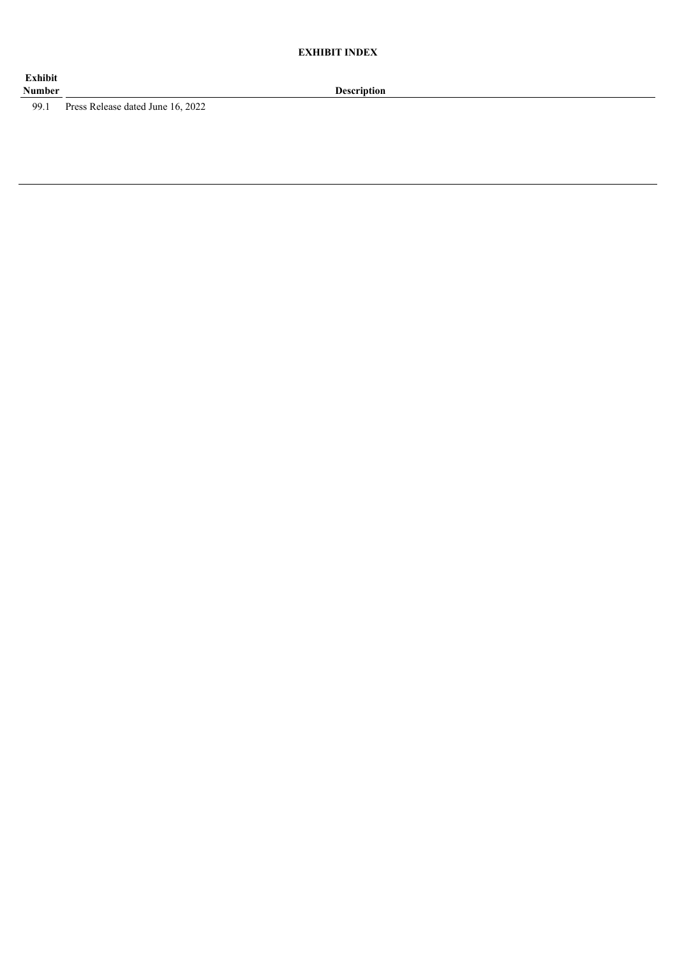99.1 Press Release dated June 16, 2022

**Description**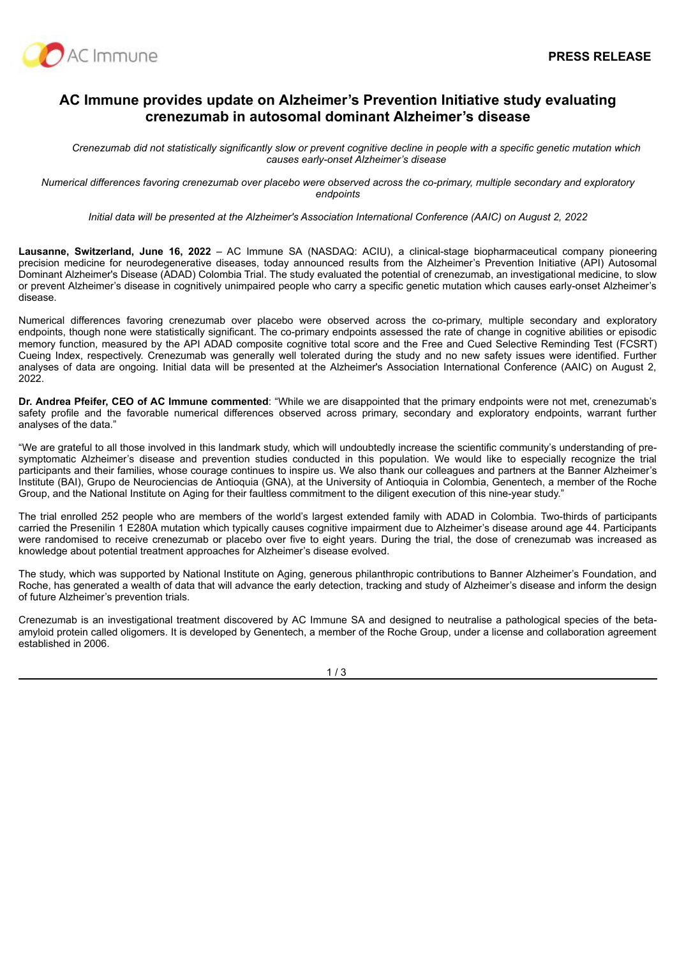

# **AC Immune provides update on Alzheimer's Prevention Initiative study evaluating crenezumab in autosomal dominant Alzheimer's disease**

Crenezumab did not statistically significantly slow or prevent cognitive decline in people with a specific genetic mutation which *causes early-onset Alzheimer's disease*

Numerical differences favoring crenezumab over placebo were observed across the co-primary, multiple secondary and exploratory *endpoints*

*Initial data will be presented at the Alzheimer's Association International Conference (AAIC) on August 2, 2022*

**Lausanne, Switzerland, June 16, 2022** – AC Immune SA (NASDAQ: ACIU), a clinical-stage biopharmaceutical company pioneering precision medicine for neurodegenerative diseases, today announced results from the Alzheimer's Prevention Initiative (API) Autosomal Dominant Alzheimer's Disease (ADAD) Colombia Trial. The study evaluated the potential of crenezumab, an investigational medicine, to slow or prevent Alzheimer's disease in cognitively unimpaired people who carry a specific genetic mutation which causes early-onset Alzheimer's disease.

Numerical differences favoring crenezumab over placebo were observed across the co-primary, multiple secondary and exploratory endpoints, though none were statistically significant. The co-primary endpoints assessed the rate of change in cognitive abilities or episodic memory function, measured by the API ADAD composite cognitive total score and the Free and Cued Selective Reminding Test (FCSRT) Cueing Index, respectively. Crenezumab was generally well tolerated during the study and no new safety issues were identified. Further analyses of data are ongoing. Initial data will be presented at the Alzheimer's Association International Conference (AAIC) on August 2, 2022.

**Dr. Andrea Pfeifer, CEO of AC Immune commented**: "While we are disappointed that the primary endpoints were not met, crenezumab's safety profile and the favorable numerical differences observed across primary, secondary and exploratory endpoints, warrant further analyses of the data."

"We are grateful to all those involved in this landmark study, which will undoubtedly increase the scientific community's understanding of presymptomatic Alzheimer's disease and prevention studies conducted in this population. We would like to especially recognize the trial participants and their families, whose courage continues to inspire us. We also thank our colleagues and partners at the Banner Alzheimer's Institute (BAI), Grupo de Neurociencias de Antioquia (GNA), at the University of Antioquia in Colombia, Genentech, a member of the Roche Group, and the National Institute on Aging for their faultless commitment to the diligent execution of this nine-year study."

The trial enrolled 252 people who are members of the world's largest extended family with ADAD in Colombia. Two-thirds of participants carried the Presenilin 1 E280A mutation which typically causes cognitive impairment due to Alzheimer's disease around age 44. Participants were randomised to receive crenezumab or placebo over five to eight years. During the trial, the dose of crenezumab was increased as knowledge about potential treatment approaches for Alzheimer's disease evolved.

The study, which was supported by National Institute on Aging, generous philanthropic contributions to Banner Alzheimer's Foundation, and Roche, has generated a wealth of data that will advance the early detection, tracking and study of Alzheimer's disease and inform the design of future Alzheimer's prevention trials.

Crenezumab is an investigational treatment discovered by AC Immune SA and designed to neutralise a pathological species of the betaamyloid protein called oligomers. It is developed by Genentech, a member of the Roche Group, under a license and collaboration agreement established in 2006.

1 / 3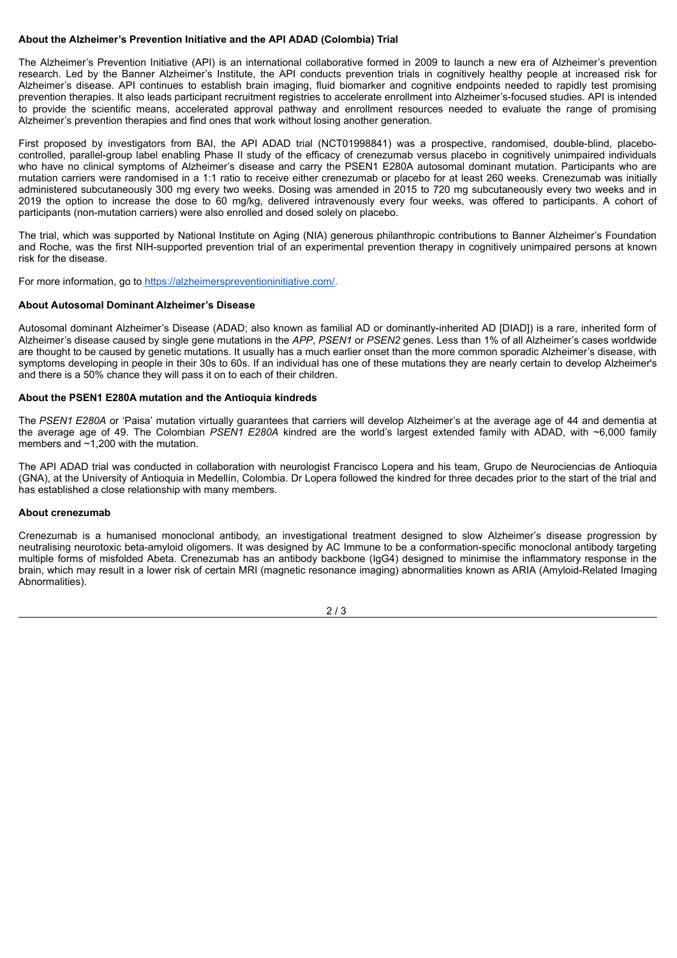### **About the Alzheimer's Prevention Initiative and the API ADAD (Colombia) Trial**

The Alzheimer's Prevention Initiative (API) is an international collaborative formed in 2009 to launch a new era of Alzheimer's prevention research. Led by the Banner Alzheimer's Institute, the API conducts prevention trials in cognitively healthy people at increased risk for Alzheimer's disease. API continues to establish brain imaging, fluid biomarker and cognitive endpoints needed to rapidly test promising prevention therapies. It also leads participant recruitment registries to accelerate enrollment into Alzheimer's-focused studies. API is intended to provide the scientific means, accelerated approval pathway and enrollment resources needed to evaluate the range of promising Alzheimer's prevention therapies and find ones that work without losing another generation.

First proposed by investigators from BAI, the API ADAD trial (NCT01998841) was a prospective, randomised, double-blind, placebocontrolled, parallel-group label enabling Phase II study of the efficacy of crenezumab versus placebo in cognitively unimpaired individuals who have no clinical symptoms of Alzheimer's disease and carry the PSEN1 E280A autosomal dominant mutation. Participants who are mutation carriers were randomised in a 1:1 ratio to receive either crenezumab or placebo for at least 260 weeks. Crenezumab was initially administered subcutaneously 300 mg every two weeks. Dosing was amended in 2015 to 720 mg subcutaneously every two weeks and in 2019 the option to increase the dose to 60 mg/kg, delivered intravenously every four weeks, was offered to participants. A cohort of participants (non-mutation carriers) were also enrolled and dosed solely on placebo.

The trial, which was supported by National Institute on Aging (NIA) generous philanthropic contributions to Banner Alzheimer's Foundation and Roche, was the first NIH-supported prevention trial of an experimental prevention therapy in cognitively unimpaired persons at known risk for the disease.

For more information, go to https://alzheimerspreventioninitiative.com/.

#### **About Autosomal Dominant Alzheimer's Disease**

Autosomal dominant Alzheimer's Disease (ADAD; also known as familial AD or dominantly-inherited AD [DIAD]) is a rare, inherited form of Alzheimer's disease caused by single gene mutations in the *APP*, *PSEN1* or *PSEN2* genes. Less than 1% of all Alzheimer's cases worldwide are thought to be caused by genetic mutations. It usually has a much earlier onset than the more common sporadic Alzheimer's disease, with symptoms developing in people in their 30s to 60s. If an individual has one of these mutations they are nearly certain to develop Alzheimer's and there is a 50% chance they will pass it on to each of their children.

#### **About the PSEN1 E280A mutation and the Antioquia kindreds**

The *PSEN1 E280A* or 'Paisa' mutation virtually guarantees that carriers will develop Alzheimer's at the average age of 44 and dementia at the average age of 49. The Colombian *PSEN1 E280A* kindred are the world's largest extended family with ADAD, with ~6,000 family members and ~1,200 with the mutation.

The API ADAD trial was conducted in collaboration with neurologist Francisco Lopera and his team, Grupo de Neurociencias de Antioquia (GNA), at the University of Antioquia in Medellín, Colombia. Dr Lopera followed the kindred for three decades prior to the start of the trial and has established a close relationship with many members.

#### **About crenezumab**

Crenezumab is a humanised monoclonal antibody, an investigational treatment designed to slow Alzheimer's disease progression by neutralising neurotoxic beta-amyloid oligomers. It was designed by AC Immune to be a conformation-specific monoclonal antibody targeting multiple forms of misfolded Abeta. Crenezumab has an antibody backbone (IgG4) designed to minimise the inflammatory response in the brain, which may result in a lower risk of certain MRI (magnetic resonance imaging) abnormalities known as ARIA (Amyloid-Related Imaging Abnormalities).